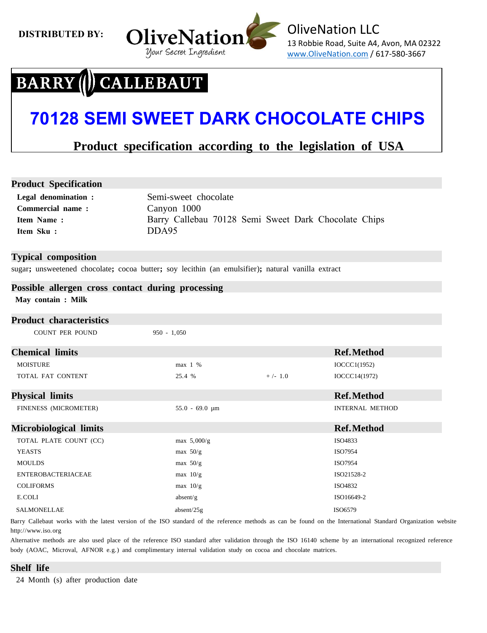**DISTRIBUTED BY:** 



## **CALLEBAUT BARRY**

# **70128 SEMI SWEET DARK CHOCOLATE CHIPS**

# **Product specification according to the legislation of USA**

## **Product Specification**

| <b>Legal denomination:</b> | Semi-sweet chocolate                                 |
|----------------------------|------------------------------------------------------|
| Commercial name:           | Canyon 1000                                          |
| <b>Item Name:</b>          | Barry Callebau 70128 Semi Sweet Dark Chocolate Chips |
| Item Sku:                  | DDA95                                                |

### **Typical composition**

sugar**;** unsweetened chocolate**;** cocoa butter**;** soy lecithin (an emulsifier)**;** natural vanilla extract

# **Possible allergen cross contact during processing**

**May contain : Milk**

| <b>Product characteristics</b> |                     |           |                        |
|--------------------------------|---------------------|-----------|------------------------|
| <b>COUNT PER POUND</b>         | $950 - 1,050$       |           |                        |
| <b>Chemical limits</b>         |                     |           | <b>Ref.Method</b>      |
| <b>MOISTURE</b>                | max 1 %             |           | IOCCC1(1952)           |
| TOTAL FAT CONTENT              | 25.4 %              | $+/- 1.0$ | IOCCC14(1972)          |
| <b>Physical limits</b>         |                     |           | <b>Ref.Method</b>      |
| FINENESS (MICROMETER)          | $55.0 - 69.0 \mu m$ |           | <b>INTERNAL METHOD</b> |
|                                |                     |           |                        |
| <b>Microbiological limits</b>  |                     |           | <b>Ref.Method</b>      |
| TOTAL PLATE COUNT (CC)         | max $5,000/g$       |           | ISO4833                |
| <b>YEASTS</b>                  | max $50/g$          |           | ISO7954                |
| <b>MOULDS</b>                  | max $50/g$          |           | ISO7954                |
| <b>ENTEROBACTERIACEAE</b>      | max $10/g$          |           | ISO21528-2             |
| <b>COLIFORMS</b>               | max $10/g$          |           | ISO4832                |
| E.COLI                         | absent/g            |           | ISO16649-2             |

Barry Callebaut works with the latest version of the ISO standard of the reference methods as can be found on the International Standard Organization website http://www.iso.org

Alternative methods are also used place of the reference ISO standard after validation through the ISO 16140 scheme by an international recognized reference body (AOAC, Microval, AFNOR e.g.) and complimentary internal validation study on cocoa and chocolate matrices.

### **Shelf life**

24 Month (s) after production date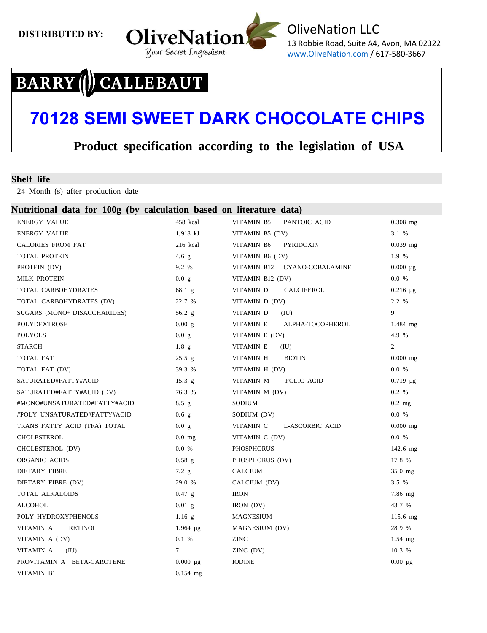

## **CALLEBAUT BARRY**

# **70128 SEMI SWEET DARK CHOCOLATE CHIPS**

# **Product specification according to the legislation of USA**

#### **Shelf life**

24 Month (s) after production date

#### **Nutritional data for 100g (by calculation based on literature data)**

| <b>ENERGY VALUE</b>          | 458 kcal           | VITAMIN B5<br>PANTOIC ACID     | $0.308$ mg     |
|------------------------------|--------------------|--------------------------------|----------------|
| <b>ENERGY VALUE</b>          | $1,918 \text{ kJ}$ | VITAMIN B5 (DV)                | 3.1 %          |
| <b>CALORIES FROM FAT</b>     | 216 kcal           | VITAMIN B6<br><b>PYRIDOXIN</b> | $0.039$ mg     |
| TOTAL PROTEIN                | $4.6$ g            | VITAMIN B6 (DV)                | 1.9 %          |
| PROTEIN (DV)                 | 9.2%               | VITAMIN B12 CYANO-COBALAMINE   | $0.000 \mu g$  |
| <b>MILK PROTEIN</b>          | 0.0 g              | VITAMIN B12 (DV)               | 0.0 %          |
| TOTAL CARBOHYDRATES          | $68.1\text{ g}$    | VITAMIN D<br><b>CALCIFEROL</b> | $0.216 \mu$ g  |
| TOTAL CARBOHYDRATES (DV)     | 22.7 %             | VITAMIN D (DV)                 | 2.2 %          |
| SUGARS (MONO+ DISACCHARIDES) | 56.2 $g$           | VITAMIN D<br>(IU)              | 9              |
| POLYDEXTROSE                 | 0.00 g             | VITAMIN E<br>ALPHA-TOCOPHEROL  | $1.484$ mg     |
| <b>POLYOLS</b>               | 0.0 g              | VITAMIN E (DV)                 | 4.9 %          |
| <b>STARCH</b>                | $1.8\text{ g}$     | VITAMIN E<br>(IU)              | $\overline{2}$ |
| TOTAL FAT                    | 25.5 g             | <b>BIOTIN</b><br>VITAMIN H     | $0.000$ mg     |
| TOTAL FAT (DV)               | 39.3 %             | VITAMIN H (DV)                 | 0.0 %          |
| SATURATED#FATTY#ACID         | 15.3 g             | VITAMIN M<br><b>FOLIC ACID</b> | $0.719 \mu g$  |
| SATURATED#FATTY#ACID (DV)    | 76.3 %             | VITAMIN M (DV)                 | 0.2 %          |
| #MONO#UNSATURATED#FATTY#ACID | $8.5$ g            | SODIUM                         | $0.2$ mg       |
| #POLY UNSATURATED#FATTY#ACID | 0.6 <sub>g</sub>   | SODIUM (DV)                    | 0.0 %          |
| TRANS FATTY ACID (TFA) TOTAL | 0.0 g              | VITAMIN C<br>L-ASCORBIC ACID   | $0.000$ mg     |
| CHOLESTEROL                  | $0.0$ mg           | VITAMIN C (DV)                 | 0.0 %          |
| CHOLESTEROL (DV)             | 0.0 %              | <b>PHOSPHORUS</b>              | $142.6$ mg     |
| ORGANIC ACIDS                | $0.58$ g           | PHOSPHORUS (DV)                | 17.8 %         |
| <b>DIETARY FIBRE</b>         | $7.2$ g            | <b>CALCIUM</b>                 | $35.0$ mg      |
| DIETARY FIBRE (DV)           | 29.0 %             | CALCIUM (DV)                   | 3.5%           |
| TOTAL ALKALOIDS              | $0.47$ g           | <b>IRON</b>                    | $7.86$ mg      |
| <b>ALCOHOL</b>               | $0.01$ g           | IRON (DV)                      | 43.7 %         |
| POLY HYDROXYPHENOLS          | $1.16$ g           | <b>MAGNESIUM</b>               | 115.6 mg       |
| VITAMIN A<br><b>RETINOL</b>  | $1.964 \mu g$      | MAGNESIUM (DV)                 | 28.9 %         |
| VITAMIN A (DV)               | 0.1%               | <b>ZINC</b>                    | $1.54$ mg      |
| VITAMIN A<br>(IU)            | $\tau$             | ZINC (DV)                      | 10.3 %         |
| PROVITAMIN A BETA-CAROTENE   | $0.000 \mu$ g      | <b>IODINE</b>                  | $0.00 \mu g$   |
| VITAMIN B1                   | $0.154$ mg         |                                |                |